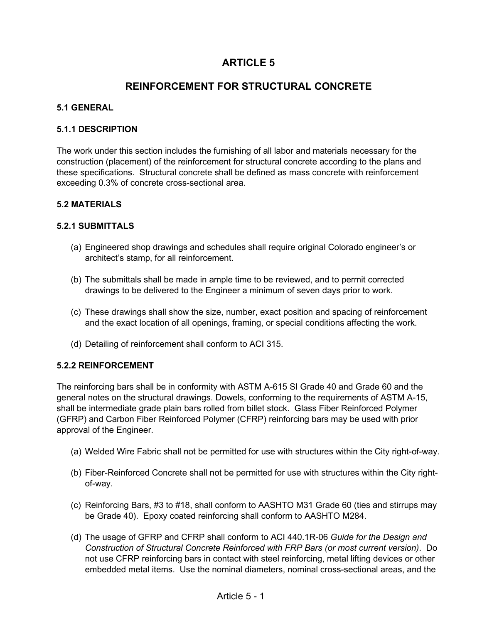# **ARTICLE 5**

# **REINFORCEMENT FOR STRUCTURAL CONCRETE**

## **5.1 GENERAL**

#### **5.1.1 DESCRIPTION**

The work under this section includes the furnishing of all labor and materials necessary for the construction (placement) of the reinforcement for structural concrete according to the plans and these specifications. Structural concrete shall be defined as mass concrete with reinforcement exceeding 0.3% of concrete cross-sectional area.

### **5.2 MATERIALS**

### **5.2.1 SUBMITTALS**

- (a) Engineered shop drawings and schedules shall require original Colorado engineer's or architect's stamp, for all reinforcement.
- (b) The submittals shall be made in ample time to be reviewed, and to permit corrected drawings to be delivered to the Engineer a minimum of seven days prior to work.
- (c) These drawings shall show the size, number, exact position and spacing of reinforcement and the exact location of all openings, framing, or special conditions affecting the work.
- (d) Detailing of reinforcement shall conform to ACI 315.

#### **5.2.2 REINFORCEMENT**

The reinforcing bars shall be in conformity with ASTM A-615 SI Grade 40 and Grade 60 and the general notes on the structural drawings. Dowels, conforming to the requirements of ASTM A-15, shall be intermediate grade plain bars rolled from billet stock. Glass Fiber Reinforced Polymer (GFRP) and Carbon Fiber Reinforced Polymer (CFRP) reinforcing bars may be used with prior approval of the Engineer.

- (a) Welded Wire Fabric shall not be permitted for use with structures within the City right-of-way.
- (b) Fiber-Reinforced Concrete shall not be permitted for use with structures within the City rightof-way.
- (c) Reinforcing Bars, #3 to #18, shall conform to AASHTO M31 Grade 60 (ties and stirrups may be Grade 40). Epoxy coated reinforcing shall conform to AASHTO M284.
- (d) The usage of GFRP and CFRP shall conform to ACI 440.1R-06 *Guide for the Design and Construction of Structural Concrete Reinforced with FRP Bars (or most current version)*. Do not use CFRP reinforcing bars in contact with steel reinforcing, metal lifting devices or other embedded metal items. Use the nominal diameters, nominal cross-sectional areas, and the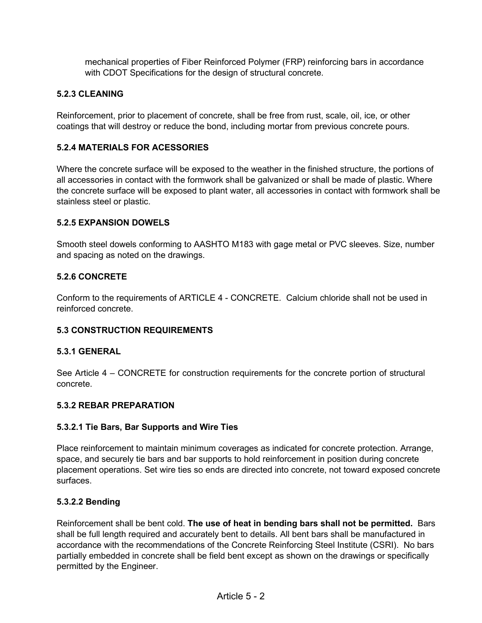mechanical properties of Fiber Reinforced Polymer (FRP) reinforcing bars in accordance with CDOT Specifications for the design of structural concrete.

### **5.2.3 CLEANING**

Reinforcement, prior to placement of concrete, shall be free from rust, scale, oil, ice, or other coatings that will destroy or reduce the bond, including mortar from previous concrete pours.

#### **5.2.4 MATERIALS FOR ACESSORIES**

Where the concrete surface will be exposed to the weather in the finished structure, the portions of all accessories in contact with the formwork shall be galvanized or shall be made of plastic. Where the concrete surface will be exposed to plant water, all accessories in contact with formwork shall be stainless steel or plastic.

#### **5.2.5 EXPANSION DOWELS**

Smooth steel dowels conforming to AASHTO M183 with gage metal or PVC sleeves. Size, number and spacing as noted on the drawings.

### **5.2.6 CONCRETE**

Conform to the requirements of ARTICLE 4 - CONCRETE. Calcium chloride shall not be used in reinforced concrete.

#### **5.3 CONSTRUCTION REQUIREMENTS**

#### **5.3.1 GENERAL**

See Article 4 – CONCRETE for construction requirements for the concrete portion of structural concrete.

#### **5.3.2 REBAR PREPARATION**

#### **5.3.2.1 Tie Bars, Bar Supports and Wire Ties**

Place reinforcement to maintain minimum coverages as indicated for concrete protection. Arrange, space, and securely tie bars and bar supports to hold reinforcement in position during concrete placement operations. Set wire ties so ends are directed into concrete, not toward exposed concrete surfaces.

#### **5.3.2.2 Bending**

Reinforcement shall be bent cold. **The use of heat in bending bars shall not be permitted.** Bars shall be full length required and accurately bent to details. All bent bars shall be manufactured in accordance with the recommendations of the Concrete Reinforcing Steel Institute (CSRI). No bars partially embedded in concrete shall be field bent except as shown on the drawings or specifically permitted by the Engineer.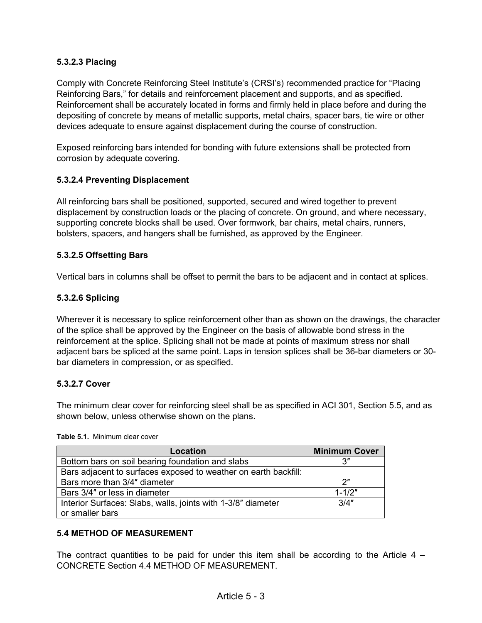## **5.3.2.3 Placing**

Comply with Concrete Reinforcing Steel Institute's (CRSI's) recommended practice for "Placing Reinforcing Bars," for details and reinforcement placement and supports, and as specified. Reinforcement shall be accurately located in forms and firmly held in place before and during the depositing of concrete by means of metallic supports, metal chairs, spacer bars, tie wire or other devices adequate to ensure against displacement during the course of construction.

Exposed reinforcing bars intended for bonding with future extensions shall be protected from corrosion by adequate covering.

### **5.3.2.4 Preventing Displacement**

All reinforcing bars shall be positioned, supported, secured and wired together to prevent displacement by construction loads or the placing of concrete. On ground, and where necessary, supporting concrete blocks shall be used. Over formwork, bar chairs, metal chairs, runners, bolsters, spacers, and hangers shall be furnished, as approved by the Engineer.

#### **5.3.2.5 Offsetting Bars**

Vertical bars in columns shall be offset to permit the bars to be adjacent and in contact at splices.

#### **5.3.2.6 Splicing**

Wherever it is necessary to splice reinforcement other than as shown on the drawings, the character of the splice shall be approved by the Engineer on the basis of allowable bond stress in the reinforcement at the splice. Splicing shall not be made at points of maximum stress nor shall adjacent bars be spliced at the same point. Laps in tension splices shall be 36-bar diameters or 30 bar diameters in compression, or as specified.

#### **5.3.2.7 Cover**

The minimum clear cover for reinforcing steel shall be as specified in ACI 301, Section 5.5, and as shown below, unless otherwise shown on the plans.

| Location                                                        | <b>Minimum Cover</b> |
|-----------------------------------------------------------------|----------------------|
| Bottom bars on soil bearing foundation and slabs                |                      |
| Bars adjacent to surfaces exposed to weather on earth backfill: |                      |
| Bars more than 3/4" diameter                                    | יי כ                 |
| Bars 3/4" or less in diameter                                   | $1 - 1/2"$           |
| Interior Surfaces: Slabs, walls, joints with 1-3/8" diameter    | 3/4"                 |
| or smaller bars                                                 |                      |

#### **Table 5.1.** Minimum clear cover

#### **5.4 METHOD OF MEASUREMENT**

The contract quantities to be paid for under this item shall be according to the Article  $4 -$ CONCRETE Section 4.4 METHOD OF MEASUREMENT.